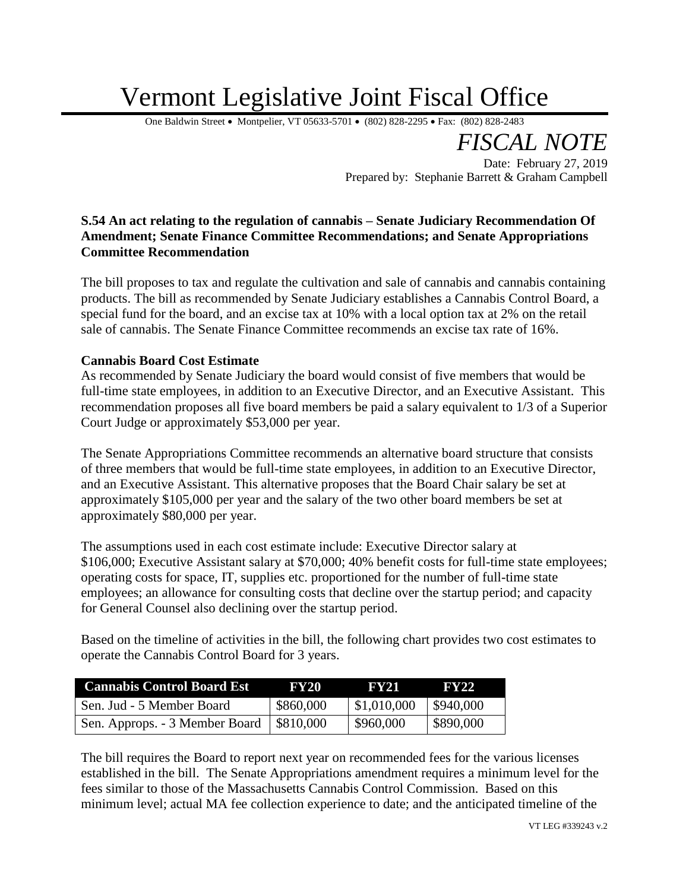## Vermont Legislative Joint Fiscal Office

One Baldwin Street • Montpelier, VT 05633-5701 • (802) 828-2295 • Fax: (802) 828-2483

*FISCAL NOTE*

Date: February 27, 2019 Prepared by: Stephanie Barrett & Graham Campbell

## **S.54 An act relating to the regulation of cannabis – Senate Judiciary Recommendation Of Amendment; Senate Finance Committee Recommendations; and Senate Appropriations Committee Recommendation**

The bill proposes to tax and regulate the cultivation and sale of cannabis and cannabis containing products. The bill as recommended by Senate Judiciary establishes a Cannabis Control Board, a special fund for the board, and an excise tax at 10% with a local option tax at 2% on the retail sale of cannabis. The Senate Finance Committee recommends an excise tax rate of 16%.

## **Cannabis Board Cost Estimate**

As recommended by Senate Judiciary the board would consist of five members that would be full-time state employees, in addition to an Executive Director, and an Executive Assistant. This recommendation proposes all five board members be paid a salary equivalent to 1/3 of a Superior Court Judge or approximately \$53,000 per year.

The Senate Appropriations Committee recommends an alternative board structure that consists of three members that would be full-time state employees, in addition to an Executive Director, and an Executive Assistant. This alternative proposes that the Board Chair salary be set at approximately \$105,000 per year and the salary of the two other board members be set at approximately \$80,000 per year.

The assumptions used in each cost estimate include: Executive Director salary at \$106,000; Executive Assistant salary at \$70,000; 40% benefit costs for full-time state employees; operating costs for space, IT, supplies etc. proportioned for the number of full-time state employees; an allowance for consulting costs that decline over the startup period; and capacity for General Counsel also declining over the startup period.

Based on the timeline of activities in the bill, the following chart provides two cost estimates to operate the Cannabis Control Board for 3 years.

| <b>Cannabis Control Board Est</b>          | <b>FY20</b> | <b>FY21</b> | <b>FY22</b>             |
|--------------------------------------------|-------------|-------------|-------------------------|
| Sen. Jud - 5 Member Board                  | \$860,000   | \$1,010,000 | $\frac{1}{2}$ \$940,000 |
| Sen. Approps. - 3 Member Board   \$810,000 |             | \$960,000   | \$890,000               |

The bill requires the Board to report next year on recommended fees for the various licenses established in the bill. The Senate Appropriations amendment requires a minimum level for the fees similar to those of the Massachusetts Cannabis Control Commission. Based on this minimum level; actual MA fee collection experience to date; and the anticipated timeline of the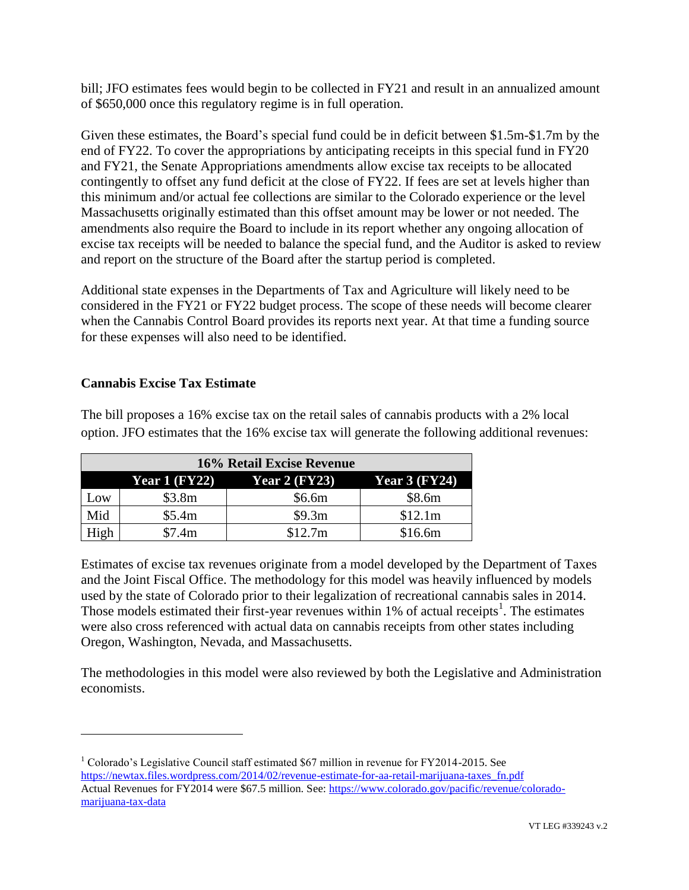bill; JFO estimates fees would begin to be collected in FY21 and result in an annualized amount of \$650,000 once this regulatory regime is in full operation.

Given these estimates, the Board's special fund could be in deficit between \$1.5m-\$1.7m by the end of FY22. To cover the appropriations by anticipating receipts in this special fund in FY20 and FY21, the Senate Appropriations amendments allow excise tax receipts to be allocated contingently to offset any fund deficit at the close of FY22. If fees are set at levels higher than this minimum and/or actual fee collections are similar to the Colorado experience or the level Massachusetts originally estimated than this offset amount may be lower or not needed. The amendments also require the Board to include in its report whether any ongoing allocation of excise tax receipts will be needed to balance the special fund, and the Auditor is asked to review and report on the structure of the Board after the startup period is completed.

Additional state expenses in the Departments of Tax and Agriculture will likely need to be considered in the FY21 or FY22 budget process. The scope of these needs will become clearer when the Cannabis Control Board provides its reports next year. At that time a funding source for these expenses will also need to be identified.

## **Cannabis Excise Tax Estimate**

 $\overline{a}$ 

The bill proposes a 16% excise tax on the retail sales of cannabis products with a 2% local option. JFO estimates that the 16% excise tax will generate the following additional revenues:

| 16% Retail Excise Revenue |                      |                      |                      |  |
|---------------------------|----------------------|----------------------|----------------------|--|
|                           | <b>Year 1 (FY22)</b> | <b>Year 2 (FY23)</b> | <b>Year 3 (FY24)</b> |  |
| Low                       | \$3.8m               | \$6.6m               | \$8.6m               |  |
| Mid                       | \$5.4m               | \$9.3m               | \$12.1m              |  |
| High                      | \$7.4m               | \$12.7m              | \$16.6m              |  |

Estimates of excise tax revenues originate from a model developed by the Department of Taxes and the Joint Fiscal Office. The methodology for this model was heavily influenced by models used by the state of Colorado prior to their legalization of recreational cannabis sales in 2014. Those models estimated their first-year revenues within  $1\%$  of actual receipts<sup>1</sup>. The estimates were also cross referenced with actual data on cannabis receipts from other states including Oregon, Washington, Nevada, and Massachusetts.

The methodologies in this model were also reviewed by both the Legislative and Administration economists.

<sup>&</sup>lt;sup>1</sup> Colorado's Legislative Council staff estimated \$67 million in revenue for FY2014-2015. See [https://newtax.files.wordpress.com/2014/02/revenue-estimate-for-aa-retail-marijuana-taxes\\_fn.pdf](https://newtax.files.wordpress.com/2014/02/revenue-estimate-for-aa-retail-marijuana-taxes_fn.pdf) Actual Revenues for FY2014 were \$67.5 million. See: [https://www.colorado.gov/pacific/revenue/colorado](https://www.colorado.gov/pacific/revenue/colorado-marijuana-tax-data)[marijuana-tax-data](https://www.colorado.gov/pacific/revenue/colorado-marijuana-tax-data)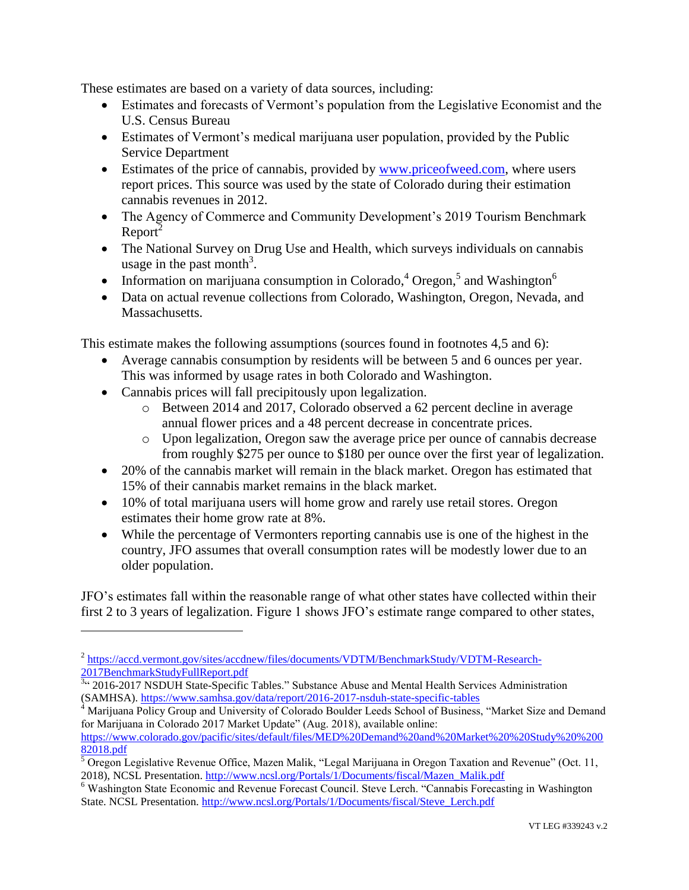These estimates are based on a variety of data sources, including:

- Estimates and forecasts of Vermont's population from the Legislative Economist and the U.S. Census Bureau
- Estimates of Vermont's medical marijuana user population, provided by the Public Service Department
- Estimates of the price of cannabis, provided by [www.priceofweed.com,](http://www.priceofweed.com/) where users report prices. This source was used by the state of Colorado during their estimation cannabis revenues in 2012.
- The Agency of Commerce and Community Development's 2019 Tourism Benchmark  $Report^2$
- The National Survey on Drug Use and Health, which surveys individuals on cannabis usage in the past month<sup>3</sup>.
- Information on marijuana consumption in Colorado,  $4^4$  Oregon,  $5^5$  and Washington  $6^6$
- Data on actual revenue collections from Colorado, Washington, Oregon, Nevada, and Massachusetts.

This estimate makes the following assumptions (sources found in footnotes 4,5 and 6):

- Average cannabis consumption by residents will be between 5 and 6 ounces per year. This was informed by usage rates in both Colorado and Washington.
- Cannabis prices will fall precipitously upon legalization.

 $\overline{a}$ 

- o Between 2014 and 2017, Colorado observed a 62 percent decline in average annual flower prices and a 48 percent decrease in concentrate prices.
- o Upon legalization, Oregon saw the average price per ounce of cannabis decrease from roughly \$275 per ounce to \$180 per ounce over the first year of legalization.
- 20% of the cannabis market will remain in the black market. Oregon has estimated that 15% of their cannabis market remains in the black market.
- 10% of total marijuana users will home grow and rarely use retail stores. Oregon estimates their home grow rate at 8%.
- While the percentage of Vermonters reporting cannabis use is one of the highest in the country, JFO assumes that overall consumption rates will be modestly lower due to an older population.

JFO's estimates fall within the reasonable range of what other states have collected within their first 2 to 3 years of legalization. Figure 1 shows JFO's estimate range compared to other states,

<sup>&</sup>lt;sup>2</sup> [https://accd.vermont.gov/sites/accdnew/files/documents/VDTM/BenchmarkStudy/VDTM-Research-](https://accd.vermont.gov/sites/accdnew/files/documents/VDTM/BenchmarkStudy/VDTM-Research-2017BenchmarkStudyFullReport.pdf)

[<sup>2017</sup>BenchmarkStudyFullReport.pdf](https://accd.vermont.gov/sites/accdnew/files/documents/VDTM/BenchmarkStudy/VDTM-Research-2017BenchmarkStudyFullReport.pdf)<br><sup>3</sup> 2016-2017 NSDUH State-Specific Tables." Substance Abuse and Mental Health Services Administration (SAMHSA).<https://www.samhsa.gov/data/report/2016-2017-nsduh-state-specific-tables>

Marijuana Policy Group and University of Colorado Boulder Leeds School of Business, "Market Size and Demand for Marijuana in Colorado 2017 Market Update" (Aug. 2018), available online:

[https://www.colorado.gov/pacific/sites/default/files/MED%20Demand%20and%20Market%20%20Study%20%200](https://www.colorado.gov/pacific/sites/default/files/MED%20Demand%20and%20Market%20%20Study%20%20082018.pdf) [82018.pdf](https://www.colorado.gov/pacific/sites/default/files/MED%20Demand%20and%20Market%20%20Study%20%20082018.pdf)

 $\overline{5}$  Oregon Legislative Revenue Office, Mazen Malik, "Legal Marijuana in Oregon Taxation and Revenue" (Oct. 11, 2018), NCSL Presentation. [http://www.ncsl.org/Portals/1/Documents/fiscal/Mazen\\_Malik.pdf](http://www.ncsl.org/Portals/1/Documents/fiscal/Mazen_Malik.pdf)

<sup>&</sup>lt;sup>6</sup> Washington State Economic and Revenue Forecast Council. Steve Lerch. "Cannabis Forecasting in Washington State. NCSL Presentation. [http://www.ncsl.org/Portals/1/Documents/fiscal/Steve\\_Lerch.pdf](http://www.ncsl.org/Portals/1/Documents/fiscal/Steve_Lerch.pdf)